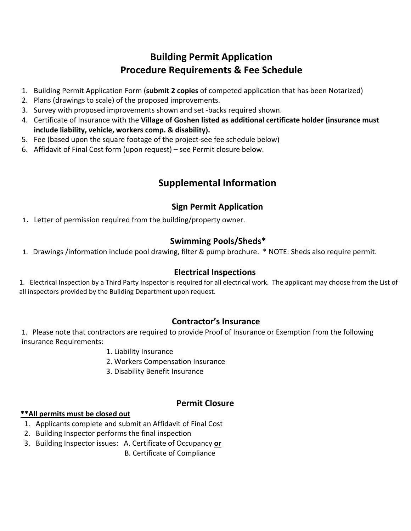# **Building Permit Application Procedure Requirements & Fee Schedule**

- 1. Building Permit Application Form (**submit 2 copies** of competed application that has been Notarized)
- 2. Plans (drawings to scale) of the proposed improvements.
- 3. Survey with proposed improvements shown and set ‐backs required shown.
- 4. Certificate of Insurance with the **Village of Goshen listed as additional certificate holder (insurance must include liability, vehicle, workers comp. & disability).**
- 5. Fee (based upon the square footage of the project-see fee schedule below)
- 6. Affidavit of Final Cost form (upon request) see Permit closure below.

## **Supplemental Information**

### **Sign Permit Application**

1. Letter of permission required from the building/property owner.

#### **Swimming Pools/Sheds\***

1. Drawings /information include pool drawing, filter & pump brochure. \* NOTE: Sheds also require permit.

#### **Electrical Inspections**

1. Electrical Inspection by a Third Party Inspector is required for all electrical work. The applicant may choose from the List of all inspectors provided by the Building Department upon request.

### **Contractor's Insurance**

1. Please note that contractors are required to provide Proof of Insurance or Exemption from the following insurance Requirements:

- 1. Liability Insurance
- 2. Workers Compensation Insurance
- 3. Disability Benefit Insurance

## **Permit Closure**

#### **\*\*All permits must be closed out**

- 1. Applicants complete and submit an Affidavit of Final Cost
- 2. Building Inspector performs the final inspection
- 3. Building Inspector issues: A. Certificate of Occupancy **or**

B. Certificate of Compliance